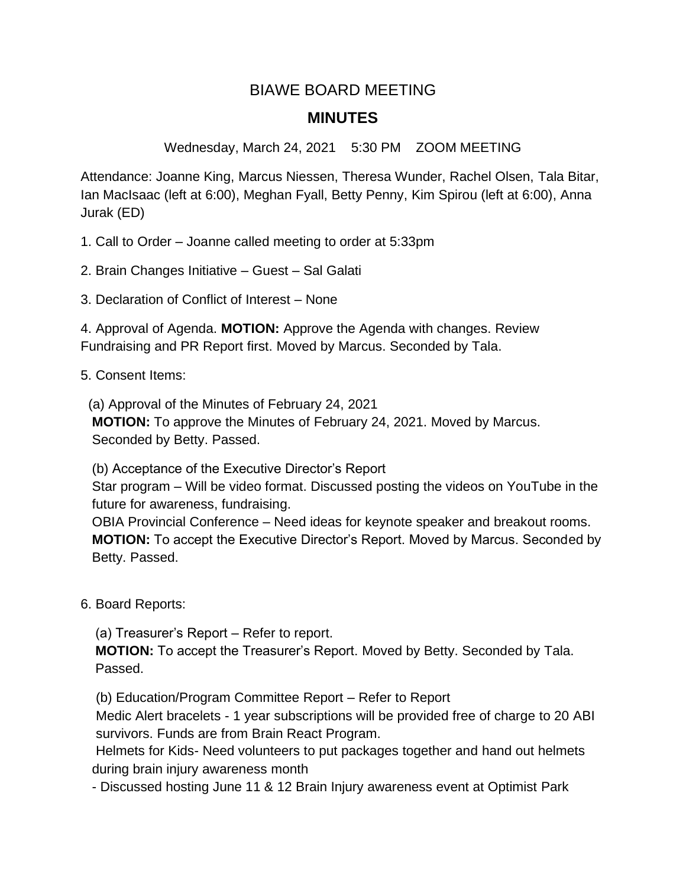## BIAWE BOARD MEETING **MINUTES**

Wednesday, March 24, 2021 5:30 PM ZOOM MEETING

Attendance: Joanne King, Marcus Niessen, Theresa Wunder, Rachel Olsen, Tala Bitar, Ian MacIsaac (left at 6:00), Meghan Fyall, Betty Penny, Kim Spirou (left at 6:00), Anna Jurak (ED)

1. Call to Order – Joanne called meeting to order at 5:33pm

2. Brain Changes Initiative – Guest – Sal Galati

3. Declaration of Conflict of Interest – None

4. Approval of Agenda. **MOTION:** Approve the Agenda with changes. Review Fundraising and PR Report first. Moved by Marcus. Seconded by Tala.

5. Consent Items:

(a) Approval of the Minutes of February 24, 2021

 **MOTION:** To approve the Minutes of February 24, 2021. Moved by Marcus. Seconded by Betty. Passed.

(b) Acceptance of the Executive Director's Report

 Star program – Will be video format. Discussed posting the videos on YouTube in the future for awareness, fundraising.

 OBIA Provincial Conference – Need ideas for keynote speaker and breakout rooms.  **MOTION:** To accept the Executive Director's Report. Moved by Marcus. Seconded by Betty. Passed.

6. Board Reports:

(a) Treasurer's Report – Refer to report.

**MOTION:** To accept the Treasurer's Report. Moved by Betty. Seconded by Tala. Passed.

(b) Education/Program Committee Report – Refer to Report

 Medic Alert bracelets - 1 year subscriptions will be provided free of charge to 20 ABI survivors. Funds are from Brain React Program.

 Helmets for Kids- Need volunteers to put packages together and hand out helmets during brain injury awareness month

- Discussed hosting June 11 & 12 Brain Injury awareness event at Optimist Park